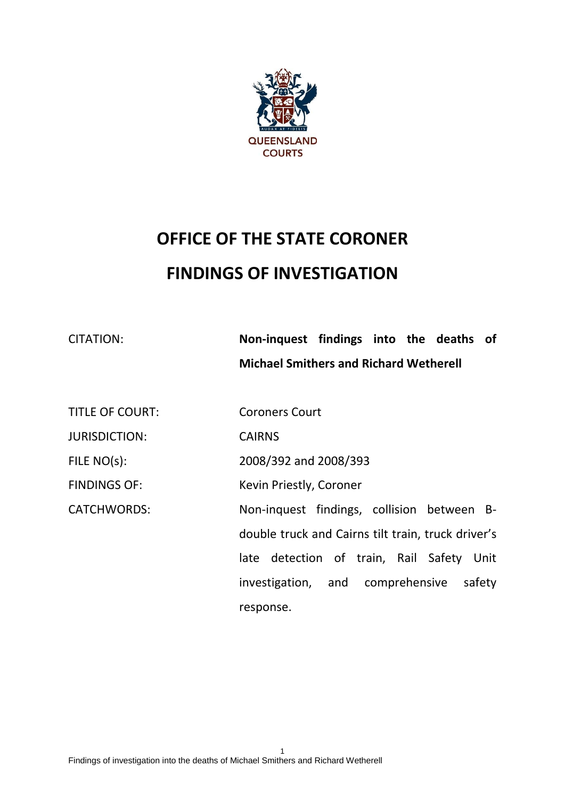

# **OFFICE OF THE STATE CORONER FINDINGS OF INVESTIGATION**

CITATION: **Non-inquest findings into the deaths of Michael Smithers and Richard Wetherell** 

TITLE OF COURT: Coroners Court

JURISDICTION: CAIRNS

FILE NO(s): 2008/392 and 2008/393

FINDINGS OF: Kevin Priestly, Coroner

CATCHWORDS: Non-inquest findings, collision between Bdouble truck and Cairns tilt train, truck driver's late detection of train, Rail Safety Unit investigation, and comprehensive safety response.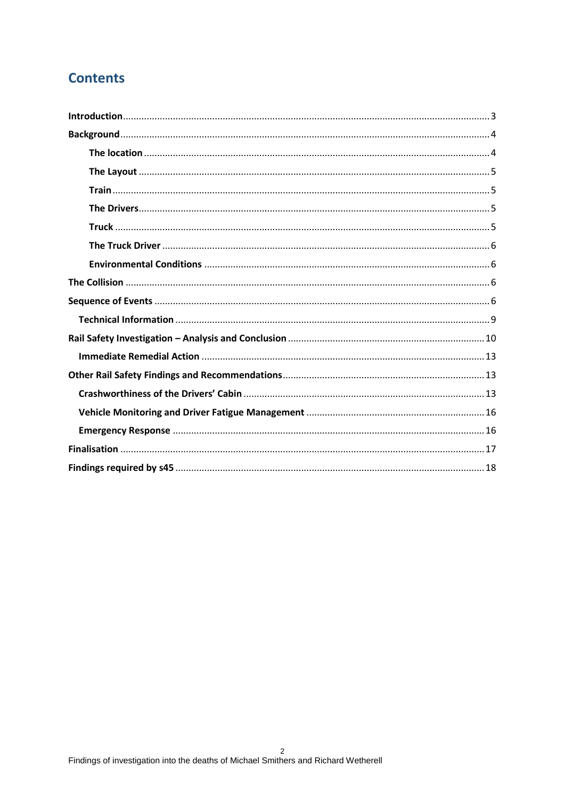# **Contents**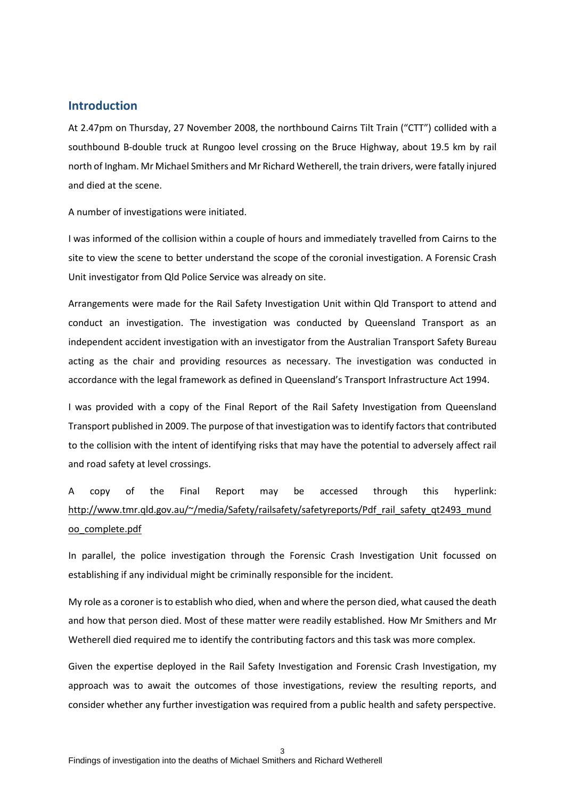## <span id="page-2-0"></span>**Introduction**

At 2.47pm on Thursday, 27 November 2008, the northbound Cairns Tilt Train ("CTT") collided with a southbound B-double truck at Rungoo level crossing on the Bruce Highway, about 19.5 km by rail north of Ingham. Mr Michael Smithers and Mr Richard Wetherell, the train drivers, were fatally injured and died at the scene.

A number of investigations were initiated.

I was informed of the collision within a couple of hours and immediately travelled from Cairns to the site to view the scene to better understand the scope of the coronial investigation. A Forensic Crash Unit investigator from Qld Police Service was already on site.

Arrangements were made for the Rail Safety Investigation Unit within Qld Transport to attend and conduct an investigation. The investigation was conducted by Queensland Transport as an independent accident investigation with an investigator from the Australian Transport Safety Bureau acting as the chair and providing resources as necessary. The investigation was conducted in accordance with the legal framework as defined in Queensland's Transport Infrastructure Act 1994.

I was provided with a copy of the Final Report of the Rail Safety Investigation from Queensland Transport published in 2009. The purpose of that investigation was to identify factors that contributed to the collision with the intent of identifying risks that may have the potential to adversely affect rail and road safety at level crossings.

A copy of the Final Report may be accessed through this hyperlink: [http://www.tmr.qld.gov.au/~/media/Safety/railsafety/safetyreports/Pdf\\_rail\\_safety\\_qt2493\\_mund](http://www.tmr.qld.gov.au/~/media/Safety/railsafety/safetyreports/Pdf_rail_safety_qt2493_mundoo_complete.pdf) [oo\\_complete.pdf](http://www.tmr.qld.gov.au/~/media/Safety/railsafety/safetyreports/Pdf_rail_safety_qt2493_mundoo_complete.pdf)

In parallel, the police investigation through the Forensic Crash Investigation Unit focussed on establishing if any individual might be criminally responsible for the incident.

My role as a coroner is to establish who died, when and where the person died, what caused the death and how that person died. Most of these matter were readily established. How Mr Smithers and Mr Wetherell died required me to identify the contributing factors and this task was more complex.

Given the expertise deployed in the Rail Safety Investigation and Forensic Crash Investigation, my approach was to await the outcomes of those investigations, review the resulting reports, and consider whether any further investigation was required from a public health and safety perspective.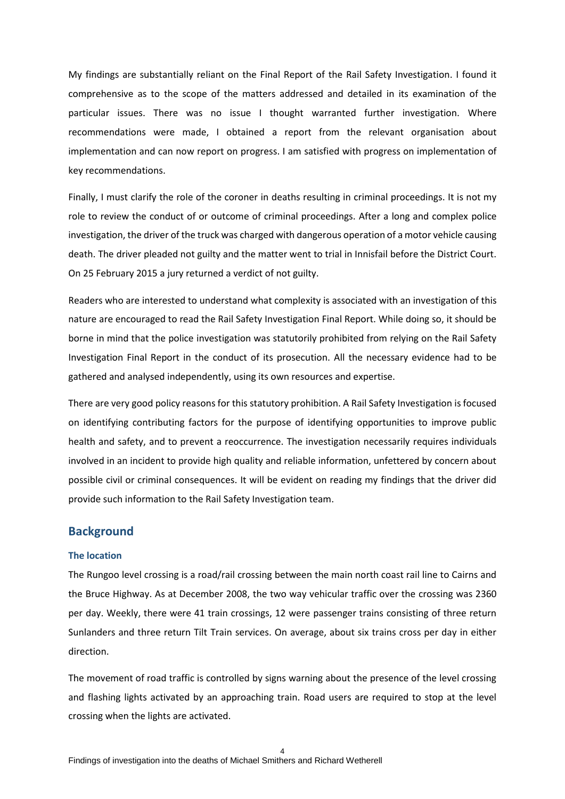My findings are substantially reliant on the Final Report of the Rail Safety Investigation. I found it comprehensive as to the scope of the matters addressed and detailed in its examination of the particular issues. There was no issue I thought warranted further investigation. Where recommendations were made, I obtained a report from the relevant organisation about implementation and can now report on progress. I am satisfied with progress on implementation of key recommendations.

Finally, I must clarify the role of the coroner in deaths resulting in criminal proceedings. It is not my role to review the conduct of or outcome of criminal proceedings. After a long and complex police investigation, the driver of the truck was charged with dangerous operation of a motor vehicle causing death. The driver pleaded not guilty and the matter went to trial in Innisfail before the District Court. On 25 February 2015 a jury returned a verdict of not guilty.

Readers who are interested to understand what complexity is associated with an investigation of this nature are encouraged to read the Rail Safety Investigation Final Report. While doing so, it should be borne in mind that the police investigation was statutorily prohibited from relying on the Rail Safety Investigation Final Report in the conduct of its prosecution. All the necessary evidence had to be gathered and analysed independently, using its own resources and expertise.

There are very good policy reasons for this statutory prohibition. A Rail Safety Investigation is focused on identifying contributing factors for the purpose of identifying opportunities to improve public health and safety, and to prevent a reoccurrence. The investigation necessarily requires individuals involved in an incident to provide high quality and reliable information, unfettered by concern about possible civil or criminal consequences. It will be evident on reading my findings that the driver did provide such information to the Rail Safety Investigation team.

### <span id="page-3-0"></span>**Background**

#### <span id="page-3-1"></span>**The location**

The Rungoo level crossing is a road/rail crossing between the main north coast rail line to Cairns and the Bruce Highway. As at December 2008, the two way vehicular traffic over the crossing was 2360 per day. Weekly, there were 41 train crossings, 12 were passenger trains consisting of three return Sunlanders and three return Tilt Train services. On average, about six trains cross per day in either direction.

The movement of road traffic is controlled by signs warning about the presence of the level crossing and flashing lights activated by an approaching train. Road users are required to stop at the level crossing when the lights are activated.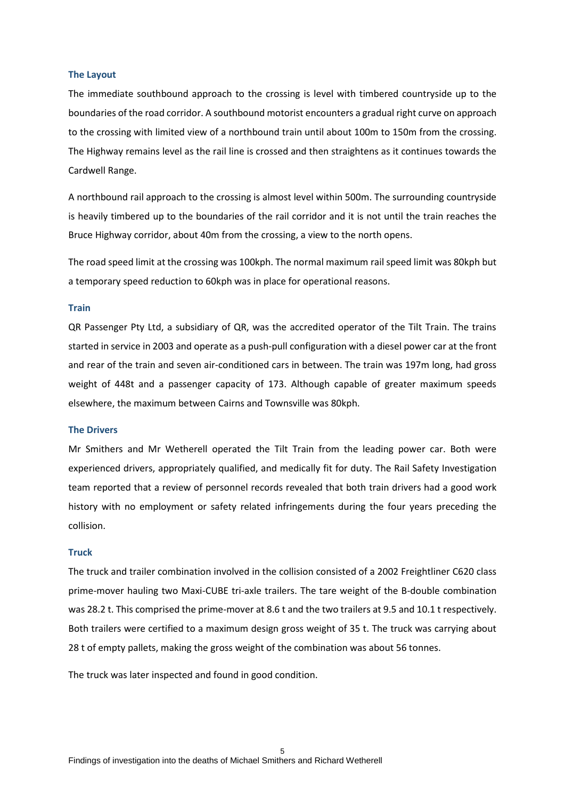#### <span id="page-4-0"></span>**The Layout**

The immediate southbound approach to the crossing is level with timbered countryside up to the boundaries of the road corridor. A southbound motorist encounters a gradual right curve on approach to the crossing with limited view of a northbound train until about 100m to 150m from the crossing. The Highway remains level as the rail line is crossed and then straightens as it continues towards the Cardwell Range.

A northbound rail approach to the crossing is almost level within 500m. The surrounding countryside is heavily timbered up to the boundaries of the rail corridor and it is not until the train reaches the Bruce Highway corridor, about 40m from the crossing, a view to the north opens.

The road speed limit at the crossing was 100kph. The normal maximum rail speed limit was 80kph but a temporary speed reduction to 60kph was in place for operational reasons.

#### <span id="page-4-1"></span>**Train**

QR Passenger Pty Ltd, a subsidiary of QR, was the accredited operator of the Tilt Train. The trains started in service in 2003 and operate as a push-pull configuration with a diesel power car at the front and rear of the train and seven air-conditioned cars in between. The train was 197m long, had gross weight of 448t and a passenger capacity of 173. Although capable of greater maximum speeds elsewhere, the maximum between Cairns and Townsville was 80kph.

#### <span id="page-4-2"></span>**The Drivers**

Mr Smithers and Mr Wetherell operated the Tilt Train from the leading power car. Both were experienced drivers, appropriately qualified, and medically fit for duty. The Rail Safety Investigation team reported that a review of personnel records revealed that both train drivers had a good work history with no employment or safety related infringements during the four years preceding the collision.

#### <span id="page-4-3"></span>**Truck**

The truck and trailer combination involved in the collision consisted of a 2002 Freightliner C620 class prime-mover hauling two Maxi-CUBE tri-axle trailers. The tare weight of the B-double combination was 28.2 t. This comprised the prime-mover at 8.6 t and the two trailers at 9.5 and 10.1 t respectively. Both trailers were certified to a maximum design gross weight of 35 t. The truck was carrying about 28 t of empty pallets, making the gross weight of the combination was about 56 tonnes.

The truck was later inspected and found in good condition.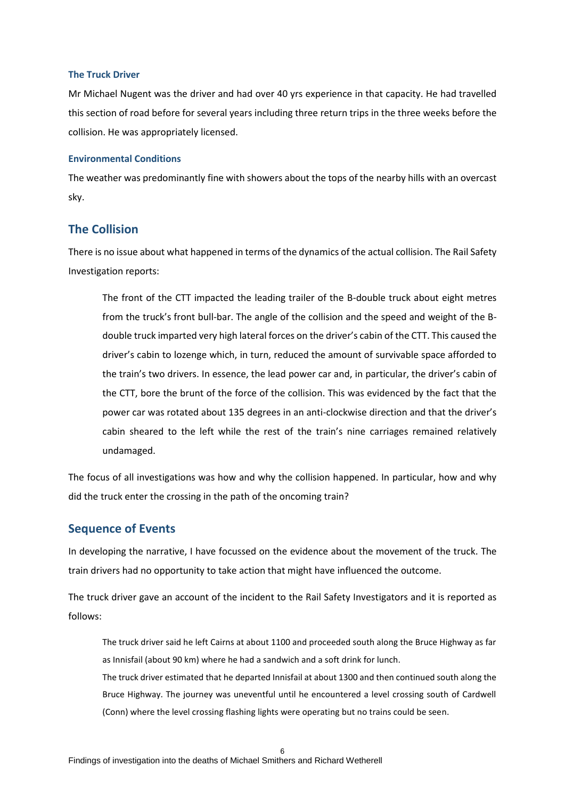#### <span id="page-5-0"></span>**The Truck Driver**

Mr Michael Nugent was the driver and had over 40 yrs experience in that capacity. He had travelled this section of road before for several years including three return trips in the three weeks before the collision. He was appropriately licensed.

#### <span id="page-5-1"></span>**Environmental Conditions**

The weather was predominantly fine with showers about the tops of the nearby hills with an overcast sky.

## <span id="page-5-2"></span>**The Collision**

There is no issue about what happened in terms of the dynamics of the actual collision. The Rail Safety Investigation reports:

The front of the CTT impacted the leading trailer of the B-double truck about eight metres from the truck's front bull-bar. The angle of the collision and the speed and weight of the Bdouble truck imparted very high lateral forces on the driver's cabin of the CTT. This caused the driver's cabin to lozenge which, in turn, reduced the amount of survivable space afforded to the train's two drivers. In essence, the lead power car and, in particular, the driver's cabin of the CTT, bore the brunt of the force of the collision. This was evidenced by the fact that the power car was rotated about 135 degrees in an anti-clockwise direction and that the driver's cabin sheared to the left while the rest of the train's nine carriages remained relatively undamaged.

The focus of all investigations was how and why the collision happened. In particular, how and why did the truck enter the crossing in the path of the oncoming train?

## <span id="page-5-3"></span>**Sequence of Events**

In developing the narrative, I have focussed on the evidence about the movement of the truck. The train drivers had no opportunity to take action that might have influenced the outcome.

The truck driver gave an account of the incident to the Rail Safety Investigators and it is reported as follows:

The truck driver said he left Cairns at about 1100 and proceeded south along the Bruce Highway as far as Innisfail (about 90 km) where he had a sandwich and a soft drink for lunch.

The truck driver estimated that he departed Innisfail at about 1300 and then continued south along the Bruce Highway. The journey was uneventful until he encountered a level crossing south of Cardwell (Conn) where the level crossing flashing lights were operating but no trains could be seen.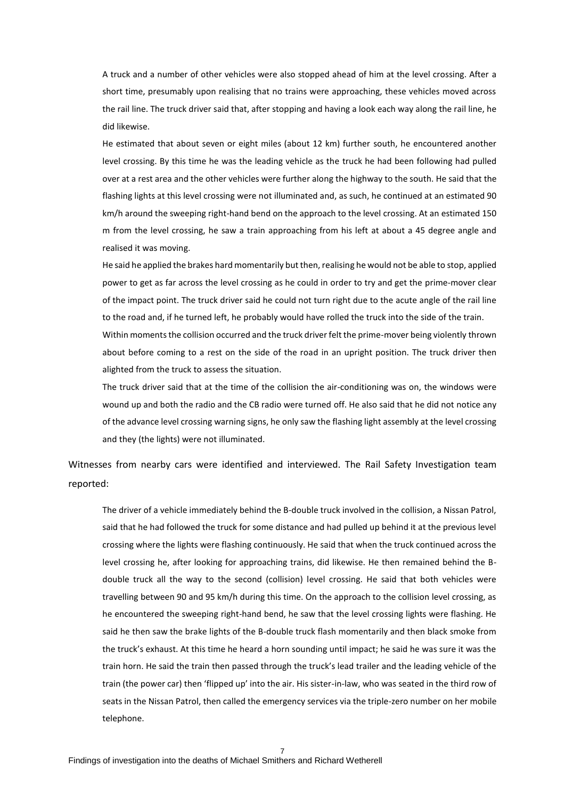A truck and a number of other vehicles were also stopped ahead of him at the level crossing. After a short time, presumably upon realising that no trains were approaching, these vehicles moved across the rail line. The truck driver said that, after stopping and having a look each way along the rail line, he did likewise.

He estimated that about seven or eight miles (about 12 km) further south, he encountered another level crossing. By this time he was the leading vehicle as the truck he had been following had pulled over at a rest area and the other vehicles were further along the highway to the south. He said that the flashing lights at this level crossing were not illuminated and, as such, he continued at an estimated 90 km/h around the sweeping right-hand bend on the approach to the level crossing. At an estimated 150 m from the level crossing, he saw a train approaching from his left at about a 45 degree angle and realised it was moving.

He said he applied the brakes hard momentarily but then, realising he would not be able to stop, applied power to get as far across the level crossing as he could in order to try and get the prime-mover clear of the impact point. The truck driver said he could not turn right due to the acute angle of the rail line to the road and, if he turned left, he probably would have rolled the truck into the side of the train. Within moments the collision occurred and the truck driver felt the prime-mover being violently thrown about before coming to a rest on the side of the road in an upright position. The truck driver then alighted from the truck to assess the situation.

The truck driver said that at the time of the collision the air-conditioning was on, the windows were wound up and both the radio and the CB radio were turned off. He also said that he did not notice any of the advance level crossing warning signs, he only saw the flashing light assembly at the level crossing and they (the lights) were not illuminated.

Witnesses from nearby cars were identified and interviewed. The Rail Safety Investigation team reported:

The driver of a vehicle immediately behind the B-double truck involved in the collision, a Nissan Patrol, said that he had followed the truck for some distance and had pulled up behind it at the previous level crossing where the lights were flashing continuously. He said that when the truck continued across the level crossing he, after looking for approaching trains, did likewise. He then remained behind the Bdouble truck all the way to the second (collision) level crossing. He said that both vehicles were travelling between 90 and 95 km/h during this time. On the approach to the collision level crossing, as he encountered the sweeping right-hand bend, he saw that the level crossing lights were flashing. He said he then saw the brake lights of the B-double truck flash momentarily and then black smoke from the truck's exhaust. At this time he heard a horn sounding until impact; he said he was sure it was the train horn. He said the train then passed through the truck's lead trailer and the leading vehicle of the train (the power car) then 'flipped up' into the air. His sister-in-law, who was seated in the third row of seats in the Nissan Patrol, then called the emergency services via the triple-zero number on her mobile telephone.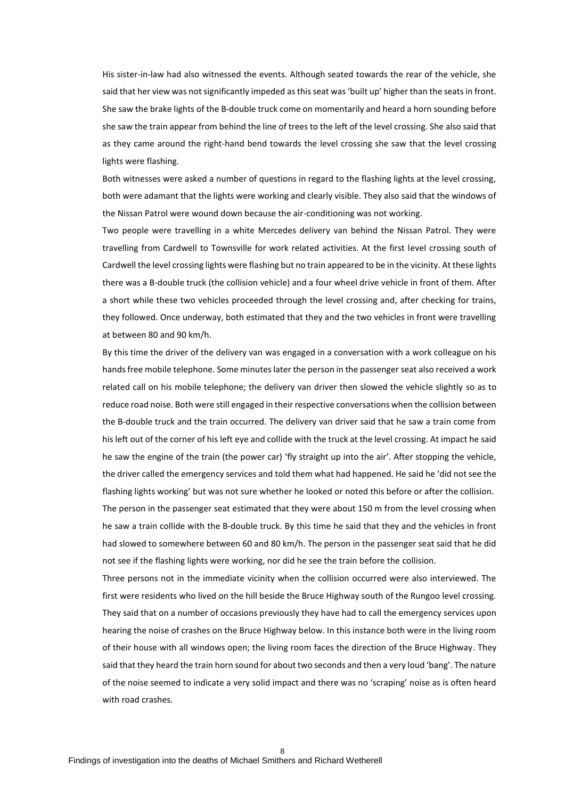His sister-in-law had also witnessed the events. Although seated towards the rear of the vehicle, she said that her view was not significantly impeded as this seat was 'built up' higher than the seats in front. She saw the brake lights of the B-double truck come on momentarily and heard a horn sounding before she saw the train appear from behind the line of trees to the left of the level crossing. She also said that as they came around the right-hand bend towards the level crossing she saw that the level crossing lights were flashing.

Both witnesses were asked a number of questions in regard to the flashing lights at the level crossing, both were adamant that the lights were working and clearly visible. They also said that the windows of the Nissan Patrol were wound down because the air-conditioning was not working.

Two people were travelling in a white Mercedes delivery van behind the Nissan Patrol. They were travelling from Cardwell to Townsville for work related activities. At the first level crossing south of Cardwell the level crossing lights were flashing but no train appeared to be in the vicinity. At these lights there was a B-double truck (the collision vehicle) and a four wheel drive vehicle in front of them. After a short while these two vehicles proceeded through the level crossing and, after checking for trains, they followed. Once underway, both estimated that they and the two vehicles in front were travelling at between 80 and 90 km/h.

By this time the driver of the delivery van was engaged in a conversation with a work colleague on his hands free mobile telephone. Some minutes later the person in the passenger seat also received a work related call on his mobile telephone; the delivery van driver then slowed the vehicle slightly so as to reduce road noise. Both were still engaged in their respective conversations when the collision between the B-double truck and the train occurred. The delivery van driver said that he saw a train come from his left out of the corner of his left eye and collide with the truck at the level crossing. At impact he said he saw the engine of the train (the power car) 'fly straight up into the air'. After stopping the vehicle, the driver called the emergency services and told them what had happened. He said he 'did not see the flashing lights working' but was not sure whether he looked or noted this before or after the collision.

The person in the passenger seat estimated that they were about 150 m from the level crossing when he saw a train collide with the B-double truck. By this time he said that they and the vehicles in front had slowed to somewhere between 60 and 80 km/h. The person in the passenger seat said that he did not see if the flashing lights were working, nor did he see the train before the collision.

Three persons not in the immediate vicinity when the collision occurred were also interviewed. The first were residents who lived on the hill beside the Bruce Highway south of the Rungoo level crossing. They said that on a number of occasions previously they have had to call the emergency services upon hearing the noise of crashes on the Bruce Highway below. In this instance both were in the living room of their house with all windows open; the living room faces the direction of the Bruce Highway. They said that they heard the train horn sound for about two seconds and then a very loud 'bang'. The nature of the noise seemed to indicate a very solid impact and there was no 'scraping' noise as is often heard with road crashes.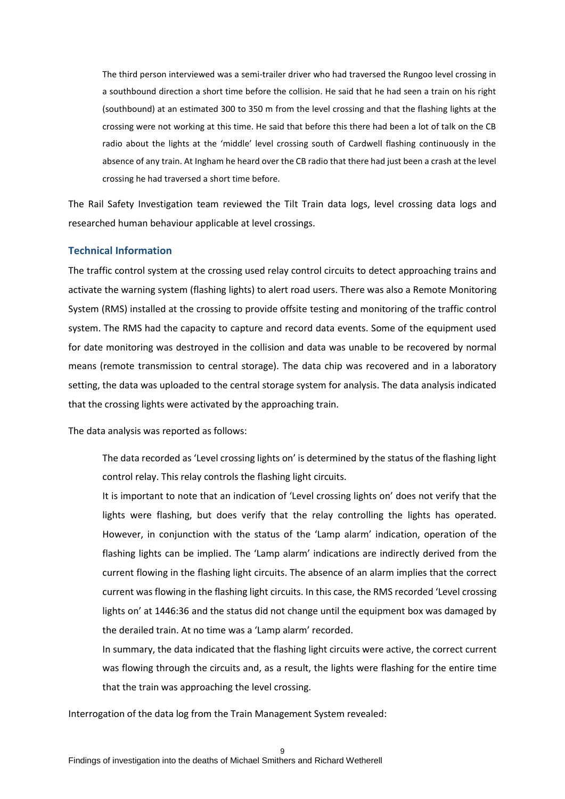The third person interviewed was a semi-trailer driver who had traversed the Rungoo level crossing in a southbound direction a short time before the collision. He said that he had seen a train on his right (southbound) at an estimated 300 to 350 m from the level crossing and that the flashing lights at the crossing were not working at this time. He said that before this there had been a lot of talk on the CB radio about the lights at the 'middle' level crossing south of Cardwell flashing continuously in the absence of any train. At Ingham he heard over the CB radio that there had just been a crash at the level crossing he had traversed a short time before.

The Rail Safety Investigation team reviewed the Tilt Train data logs, level crossing data logs and researched human behaviour applicable at level crossings.

#### <span id="page-8-0"></span>**Technical Information**

The traffic control system at the crossing used relay control circuits to detect approaching trains and activate the warning system (flashing lights) to alert road users. There was also a Remote Monitoring System (RMS) installed at the crossing to provide offsite testing and monitoring of the traffic control system. The RMS had the capacity to capture and record data events. Some of the equipment used for date monitoring was destroyed in the collision and data was unable to be recovered by normal means (remote transmission to central storage). The data chip was recovered and in a laboratory setting, the data was uploaded to the central storage system for analysis. The data analysis indicated that the crossing lights were activated by the approaching train.

The data analysis was reported as follows:

The data recorded as 'Level crossing lights on' is determined by the status of the flashing light control relay. This relay controls the flashing light circuits.

It is important to note that an indication of 'Level crossing lights on' does not verify that the lights were flashing, but does verify that the relay controlling the lights has operated. However, in conjunction with the status of the 'Lamp alarm' indication, operation of the flashing lights can be implied. The 'Lamp alarm' indications are indirectly derived from the current flowing in the flashing light circuits. The absence of an alarm implies that the correct current was flowing in the flashing light circuits. In this case, the RMS recorded 'Level crossing lights on' at 1446:36 and the status did not change until the equipment box was damaged by the derailed train. At no time was a 'Lamp alarm' recorded.

In summary, the data indicated that the flashing light circuits were active, the correct current was flowing through the circuits and, as a result, the lights were flashing for the entire time that the train was approaching the level crossing.

Interrogation of the data log from the Train Management System revealed: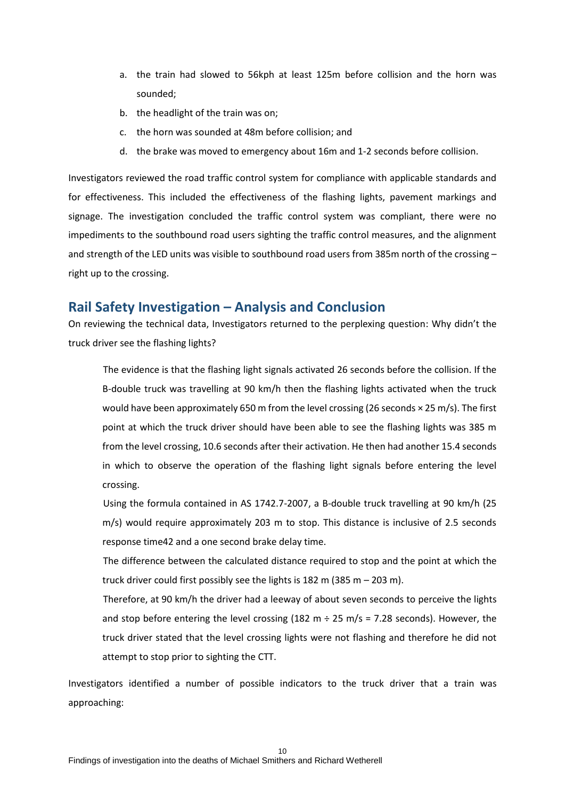- a. the train had slowed to 56kph at least 125m before collision and the horn was sounded;
- b. the headlight of the train was on;
- c. the horn was sounded at 48m before collision; and
- d. the brake was moved to emergency about 16m and 1-2 seconds before collision.

Investigators reviewed the road traffic control system for compliance with applicable standards and for effectiveness. This included the effectiveness of the flashing lights, pavement markings and signage. The investigation concluded the traffic control system was compliant, there were no impediments to the southbound road users sighting the traffic control measures, and the alignment and strength of the LED units was visible to southbound road users from 385m north of the crossing – right up to the crossing.

## <span id="page-9-0"></span>**Rail Safety Investigation – Analysis and Conclusion**

On reviewing the technical data, Investigators returned to the perplexing question: Why didn't the truck driver see the flashing lights?

The evidence is that the flashing light signals activated 26 seconds before the collision. If the B-double truck was travelling at 90 km/h then the flashing lights activated when the truck would have been approximately 650 m from the level crossing (26 seconds × 25 m/s). The first point at which the truck driver should have been able to see the flashing lights was 385 m from the level crossing, 10.6 seconds after their activation. He then had another 15.4 seconds in which to observe the operation of the flashing light signals before entering the level crossing.

Using the formula contained in AS 1742.7-2007, a B-double truck travelling at 90 km/h (25 m/s) would require approximately 203 m to stop. This distance is inclusive of 2.5 seconds response time42 and a one second brake delay time.

The difference between the calculated distance required to stop and the point at which the truck driver could first possibly see the lights is 182 m (385 m – 203 m).

Therefore, at 90 km/h the driver had a leeway of about seven seconds to perceive the lights and stop before entering the level crossing (182 m  $\div$  25 m/s = 7.28 seconds). However, the truck driver stated that the level crossing lights were not flashing and therefore he did not attempt to stop prior to sighting the CTT.

Investigators identified a number of possible indicators to the truck driver that a train was approaching: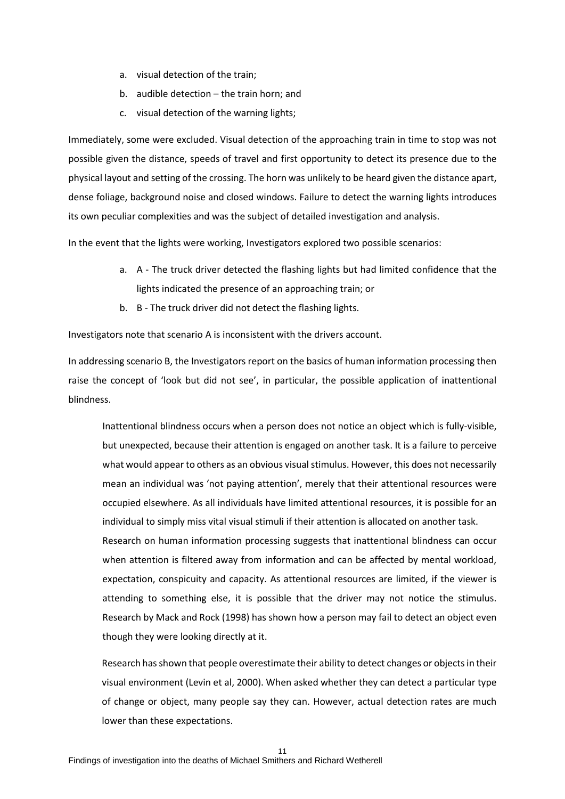- a. visual detection of the train;
- b. audible detection the train horn; and
- c. visual detection of the warning lights;

Immediately, some were excluded. Visual detection of the approaching train in time to stop was not possible given the distance, speeds of travel and first opportunity to detect its presence due to the physical layout and setting of the crossing. The horn was unlikely to be heard given the distance apart, dense foliage, background noise and closed windows. Failure to detect the warning lights introduces its own peculiar complexities and was the subject of detailed investigation and analysis.

In the event that the lights were working, Investigators explored two possible scenarios:

- a. A The truck driver detected the flashing lights but had limited confidence that the lights indicated the presence of an approaching train; or
- b. B The truck driver did not detect the flashing lights.

Investigators note that scenario A is inconsistent with the drivers account.

In addressing scenario B, the Investigators report on the basics of human information processing then raise the concept of 'look but did not see', in particular, the possible application of inattentional blindness.

Inattentional blindness occurs when a person does not notice an object which is fully-visible, but unexpected, because their attention is engaged on another task. It is a failure to perceive what would appear to others as an obvious visual stimulus. However, this does not necessarily mean an individual was 'not paying attention', merely that their attentional resources were occupied elsewhere. As all individuals have limited attentional resources, it is possible for an individual to simply miss vital visual stimuli if their attention is allocated on another task. Research on human information processing suggests that inattentional blindness can occur when attention is filtered away from information and can be affected by mental workload, expectation, conspicuity and capacity. As attentional resources are limited, if the viewer is attending to something else, it is possible that the driver may not notice the stimulus. Research by Mack and Rock (1998) has shown how a person may fail to detect an object even though they were looking directly at it.

Research has shown that people overestimate their ability to detect changes or objects in their visual environment (Levin et al, 2000). When asked whether they can detect a particular type of change or object, many people say they can. However, actual detection rates are much lower than these expectations.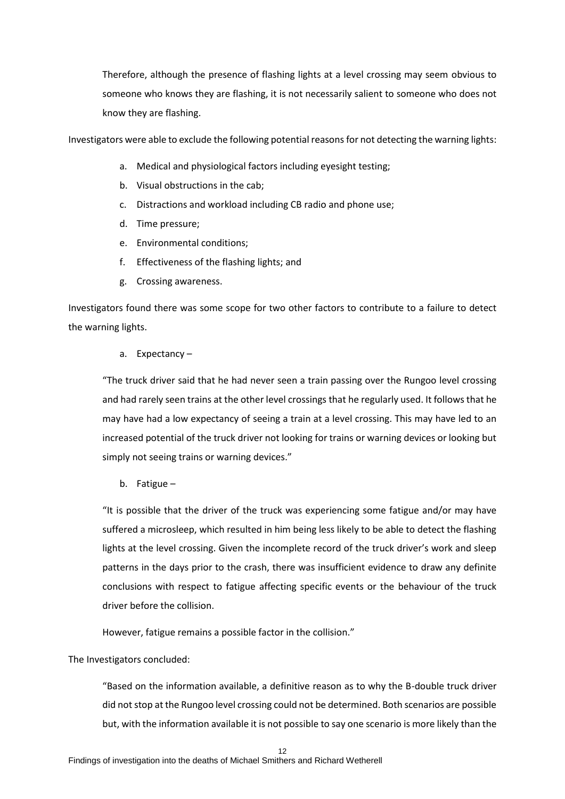Therefore, although the presence of flashing lights at a level crossing may seem obvious to someone who knows they are flashing, it is not necessarily salient to someone who does not know they are flashing.

Investigators were able to exclude the following potential reasons for not detecting the warning lights:

- a. Medical and physiological factors including eyesight testing;
- b. Visual obstructions in the cab;
- c. Distractions and workload including CB radio and phone use;
- d. Time pressure;
- e. Environmental conditions;
- f. Effectiveness of the flashing lights; and
- g. Crossing awareness.

Investigators found there was some scope for two other factors to contribute to a failure to detect the warning lights.

a. Expectancy –

"The truck driver said that he had never seen a train passing over the Rungoo level crossing and had rarely seen trains at the other level crossings that he regularly used. It follows that he may have had a low expectancy of seeing a train at a level crossing. This may have led to an increased potential of the truck driver not looking for trains or warning devices or looking but simply not seeing trains or warning devices."

b. Fatigue –

"It is possible that the driver of the truck was experiencing some fatigue and/or may have suffered a microsleep, which resulted in him being less likely to be able to detect the flashing lights at the level crossing. Given the incomplete record of the truck driver's work and sleep patterns in the days prior to the crash, there was insufficient evidence to draw any definite conclusions with respect to fatigue affecting specific events or the behaviour of the truck driver before the collision.

However, fatigue remains a possible factor in the collision."

#### The Investigators concluded:

"Based on the information available, a definitive reason as to why the B-double truck driver did not stop at the Rungoo level crossing could not be determined. Both scenarios are possible but, with the information available it is not possible to say one scenario is more likely than the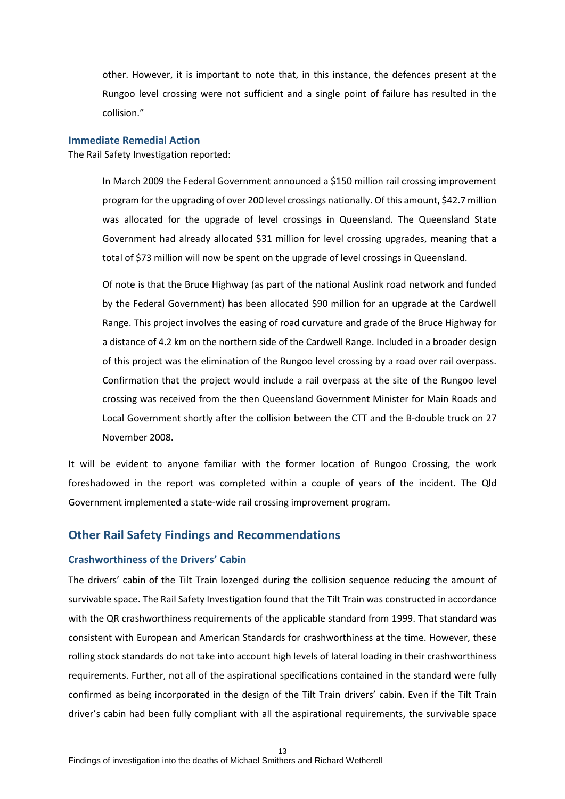other. However, it is important to note that, in this instance, the defences present at the Rungoo level crossing were not sufficient and a single point of failure has resulted in the collision."

#### <span id="page-12-0"></span>**Immediate Remedial Action**

The Rail Safety Investigation reported:

In March 2009 the Federal Government announced a \$150 million rail crossing improvement program for the upgrading of over 200 level crossings nationally. Of this amount, \$42.7 million was allocated for the upgrade of level crossings in Queensland. The Queensland State Government had already allocated \$31 million for level crossing upgrades, meaning that a total of \$73 million will now be spent on the upgrade of level crossings in Queensland.

Of note is that the Bruce Highway (as part of the national Auslink road network and funded by the Federal Government) has been allocated \$90 million for an upgrade at the Cardwell Range. This project involves the easing of road curvature and grade of the Bruce Highway for a distance of 4.2 km on the northern side of the Cardwell Range. Included in a broader design of this project was the elimination of the Rungoo level crossing by a road over rail overpass. Confirmation that the project would include a rail overpass at the site of the Rungoo level crossing was received from the then Queensland Government Minister for Main Roads and Local Government shortly after the collision between the CTT and the B-double truck on 27 November 2008.

It will be evident to anyone familiar with the former location of Rungoo Crossing, the work foreshadowed in the report was completed within a couple of years of the incident. The Qld Government implemented a state-wide rail crossing improvement program.

## <span id="page-12-1"></span>**Other Rail Safety Findings and Recommendations**

#### <span id="page-12-2"></span>**Crashworthiness of the Drivers' Cabin**

The drivers' cabin of the Tilt Train lozenged during the collision sequence reducing the amount of survivable space. The Rail Safety Investigation found that the Tilt Train was constructed in accordance with the QR crashworthiness requirements of the applicable standard from 1999. That standard was consistent with European and American Standards for crashworthiness at the time. However, these rolling stock standards do not take into account high levels of lateral loading in their crashworthiness requirements. Further, not all of the aspirational specifications contained in the standard were fully confirmed as being incorporated in the design of the Tilt Train drivers' cabin. Even if the Tilt Train driver's cabin had been fully compliant with all the aspirational requirements, the survivable space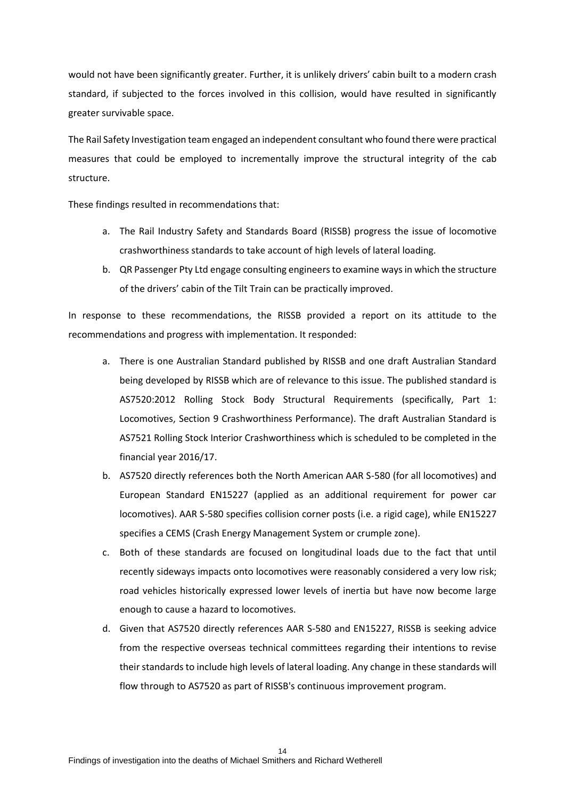would not have been significantly greater. Further, it is unlikely drivers' cabin built to a modern crash standard, if subjected to the forces involved in this collision, would have resulted in significantly greater survivable space.

The Rail Safety Investigation team engaged an independent consultant who found there were practical measures that could be employed to incrementally improve the structural integrity of the cab structure.

These findings resulted in recommendations that:

- a. The Rail Industry Safety and Standards Board (RISSB) progress the issue of locomotive crashworthiness standards to take account of high levels of lateral loading.
- b. QR Passenger Pty Ltd engage consulting engineers to examine ways in which the structure of the drivers' cabin of the Tilt Train can be practically improved.

In response to these recommendations, the RISSB provided a report on its attitude to the recommendations and progress with implementation. It responded:

- a. There is one Australian Standard published by RISSB and one draft Australian Standard being developed by RISSB which are of relevance to this issue. The published standard is AS7520:2012 Rolling Stock Body Structural Requirements (specifically, Part 1: Locomotives, Section 9 Crashworthiness Performance). The draft Australian Standard is AS7521 Rolling Stock Interior Crashworthiness which is scheduled to be completed in the financial year 2016/17.
- b. AS7520 directly references both the North American AAR S-580 (for all locomotives) and European Standard EN15227 (applied as an additional requirement for power car locomotives). AAR S-580 specifies collision corner posts (i.e. a rigid cage), while EN15227 specifies a CEMS (Crash Energy Management System or crumple zone).
- c. Both of these standards are focused on longitudinal loads due to the fact that until recently sideways impacts onto locomotives were reasonably considered a very low risk; road vehicles historically expressed lower levels of inertia but have now become large enough to cause a hazard to locomotives.
- d. Given that AS7520 directly references AAR S-580 and EN15227, RISSB is seeking advice from the respective overseas technical committees regarding their intentions to revise their standards to include high levels of lateral loading. Any change in these standards will flow through to AS7520 as part of RISSB's continuous improvement program.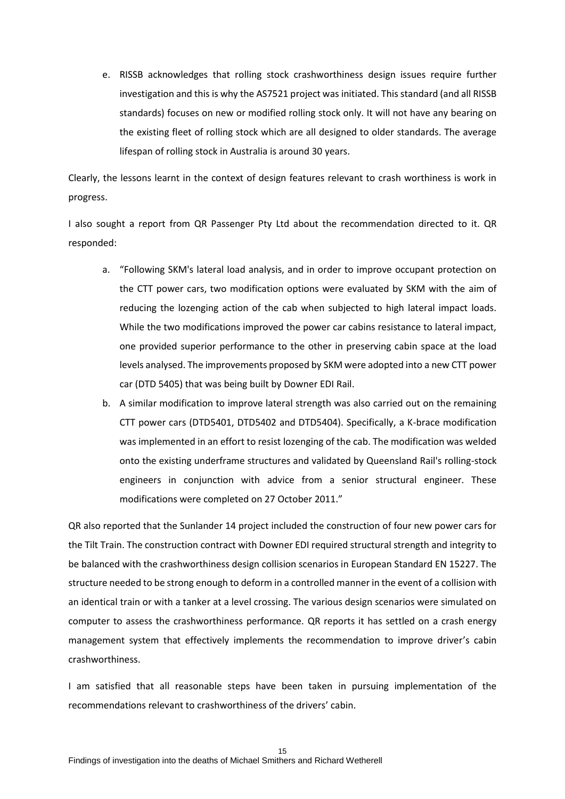e. RISSB acknowledges that rolling stock crashworthiness design issues require further investigation and this is why the AS7521 project was initiated. This standard (and all RISSB standards) focuses on new or modified rolling stock only. It will not have any bearing on the existing fleet of rolling stock which are all designed to older standards. The average lifespan of rolling stock in Australia is around 30 years.

Clearly, the lessons learnt in the context of design features relevant to crash worthiness is work in progress.

I also sought a report from QR Passenger Pty Ltd about the recommendation directed to it. QR responded:

- a. "Following SKM's lateral load analysis, and in order to improve occupant protection on the CTT power cars, two modification options were evaluated by SKM with the aim of reducing the lozenging action of the cab when subjected to high lateral impact loads. While the two modifications improved the power car cabins resistance to lateral impact, one provided superior performance to the other in preserving cabin space at the load levels analysed. The improvements proposed by SKM were adopted into a new CTT power car (DTD 5405) that was being built by Downer EDI Rail.
- b. A similar modification to improve lateral strength was also carried out on the remaining CTT power cars (DTD5401, DTD5402 and DTD5404). Specifically, a K-brace modification was implemented in an effort to resist lozenging of the cab. The modification was welded onto the existing underframe structures and validated by Queensland Rail's rolling-stock engineers in conjunction with advice from a senior structural engineer. These modifications were completed on 27 October 2011."

QR also reported that the Sunlander 14 project included the construction of four new power cars for the Tilt Train. The construction contract with Downer EDI required structural strength and integrity to be balanced with the crashworthiness design collision scenarios in European Standard EN 15227. The structure needed to be strong enough to deform in a controlled manner in the event of a collision with an identical train or with a tanker at a level crossing. The various design scenarios were simulated on computer to assess the crashworthiness performance. QR reports it has settled on a crash energy management system that effectively implements the recommendation to improve driver's cabin crashworthiness.

I am satisfied that all reasonable steps have been taken in pursuing implementation of the recommendations relevant to crashworthiness of the drivers' cabin.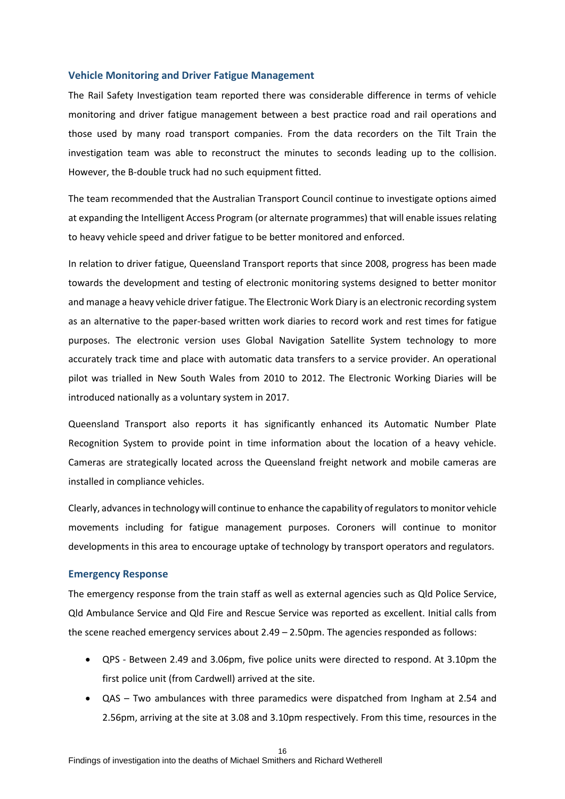#### <span id="page-15-0"></span>**Vehicle Monitoring and Driver Fatigue Management**

The Rail Safety Investigation team reported there was considerable difference in terms of vehicle monitoring and driver fatigue management between a best practice road and rail operations and those used by many road transport companies. From the data recorders on the Tilt Train the investigation team was able to reconstruct the minutes to seconds leading up to the collision. However, the B-double truck had no such equipment fitted.

The team recommended that the Australian Transport Council continue to investigate options aimed at expanding the Intelligent Access Program (or alternate programmes) that will enable issues relating to heavy vehicle speed and driver fatigue to be better monitored and enforced.

In relation to driver fatigue, Queensland Transport reports that since 2008, progress has been made towards the development and testing of electronic monitoring systems designed to better monitor and manage a heavy vehicle driver fatigue. The Electronic Work Diary is an electronic recording system as an alternative to the paper-based written work diaries to record work and rest times for fatigue purposes. The electronic version uses Global Navigation Satellite System technology to more accurately track time and place with automatic data transfers to a service provider. An operational pilot was trialled in New South Wales from 2010 to 2012. The Electronic Working Diaries will be introduced nationally as a voluntary system in 2017.

Queensland Transport also reports it has significantly enhanced its Automatic Number Plate Recognition System to provide point in time information about the location of a heavy vehicle. Cameras are strategically located across the Queensland freight network and mobile cameras are installed in compliance vehicles.

Clearly, advances in technology will continue to enhance the capability of regulators to monitor vehicle movements including for fatigue management purposes. Coroners will continue to monitor developments in this area to encourage uptake of technology by transport operators and regulators.

#### <span id="page-15-1"></span>**Emergency Response**

The emergency response from the train staff as well as external agencies such as Qld Police Service, Qld Ambulance Service and Qld Fire and Rescue Service was reported as excellent. Initial calls from the scene reached emergency services about 2.49 – 2.50pm. The agencies responded as follows:

- QPS Between 2.49 and 3.06pm, five police units were directed to respond. At 3.10pm the first police unit (from Cardwell) arrived at the site.
- QAS Two ambulances with three paramedics were dispatched from Ingham at 2.54 and 2.56pm, arriving at the site at 3.08 and 3.10pm respectively. From this time, resources in the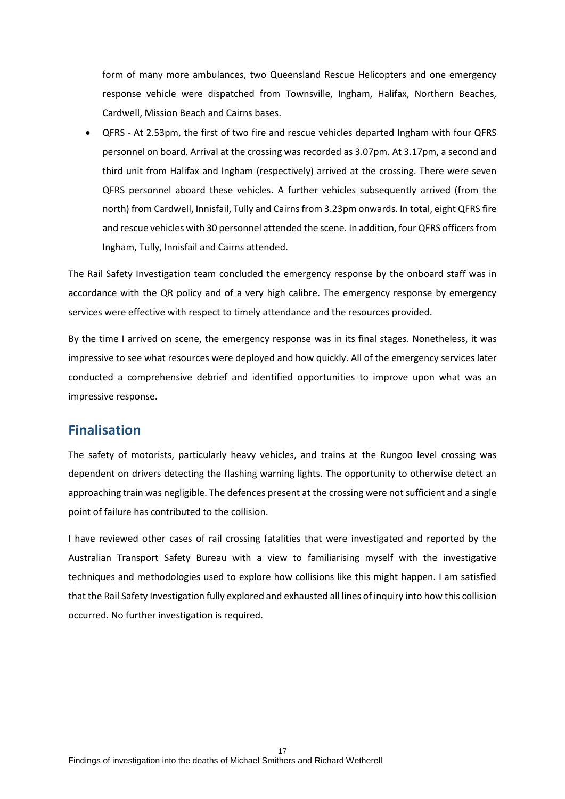form of many more ambulances, two Queensland Rescue Helicopters and one emergency response vehicle were dispatched from Townsville, Ingham, Halifax, Northern Beaches, Cardwell, Mission Beach and Cairns bases.

 QFRS - At 2.53pm, the first of two fire and rescue vehicles departed Ingham with four QFRS personnel on board. Arrival at the crossing was recorded as 3.07pm. At 3.17pm, a second and third unit from Halifax and Ingham (respectively) arrived at the crossing. There were seven QFRS personnel aboard these vehicles. A further vehicles subsequently arrived (from the north) from Cardwell, Innisfail, Tully and Cairns from 3.23pm onwards. In total, eight QFRS fire and rescue vehicles with 30 personnel attended the scene. In addition, four QFRS officers from Ingham, Tully, Innisfail and Cairns attended.

The Rail Safety Investigation team concluded the emergency response by the onboard staff was in accordance with the QR policy and of a very high calibre. The emergency response by emergency services were effective with respect to timely attendance and the resources provided.

By the time I arrived on scene, the emergency response was in its final stages. Nonetheless, it was impressive to see what resources were deployed and how quickly. All of the emergency services later conducted a comprehensive debrief and identified opportunities to improve upon what was an impressive response.

## <span id="page-16-0"></span>**Finalisation**

The safety of motorists, particularly heavy vehicles, and trains at the Rungoo level crossing was dependent on drivers detecting the flashing warning lights. The opportunity to otherwise detect an approaching train was negligible. The defences present at the crossing were not sufficient and a single point of failure has contributed to the collision.

I have reviewed other cases of rail crossing fatalities that were investigated and reported by the Australian Transport Safety Bureau with a view to familiarising myself with the investigative techniques and methodologies used to explore how collisions like this might happen. I am satisfied that the Rail Safety Investigation fully explored and exhausted all lines of inquiry into how this collision occurred. No further investigation is required.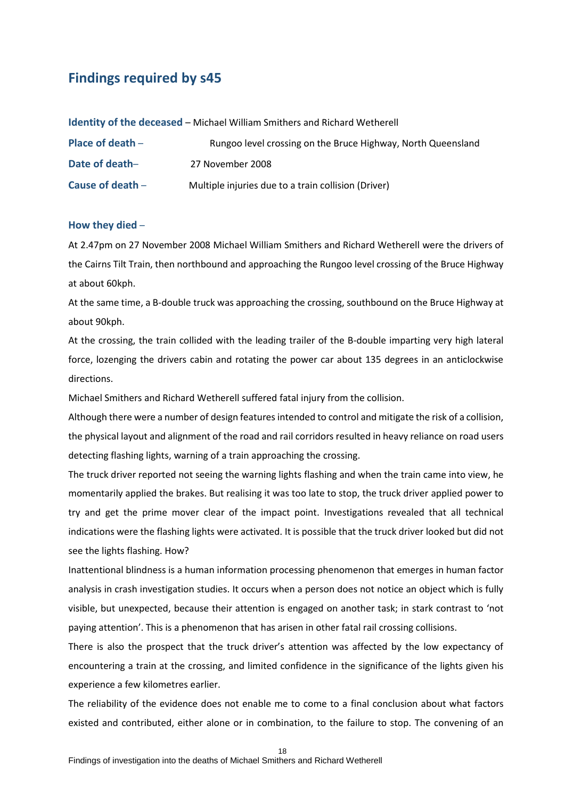## <span id="page-17-0"></span>**Findings required by s45**

**Identity of the deceased** – Michael William Smithers and Richard Wetherell

| Place of death $-$ | Rungoo level crossing on the Bruce Highway, North Queensland |
|--------------------|--------------------------------------------------------------|
| Date of death-     | 27 November 2008                                             |
| Cause of death $-$ | Multiple injuries due to a train collision (Driver)          |

#### **How they died** –

At 2.47pm on 27 November 2008 Michael William Smithers and Richard Wetherell were the drivers of the Cairns Tilt Train, then northbound and approaching the Rungoo level crossing of the Bruce Highway at about 60kph.

At the same time, a B-double truck was approaching the crossing, southbound on the Bruce Highway at about 90kph.

At the crossing, the train collided with the leading trailer of the B-double imparting very high lateral force, lozenging the drivers cabin and rotating the power car about 135 degrees in an anticlockwise directions.

Michael Smithers and Richard Wetherell suffered fatal injury from the collision.

Although there were a number of design features intended to control and mitigate the risk of a collision, the physical layout and alignment of the road and rail corridors resulted in heavy reliance on road users detecting flashing lights, warning of a train approaching the crossing.

The truck driver reported not seeing the warning lights flashing and when the train came into view, he momentarily applied the brakes. But realising it was too late to stop, the truck driver applied power to try and get the prime mover clear of the impact point. Investigations revealed that all technical indications were the flashing lights were activated. It is possible that the truck driver looked but did not see the lights flashing. How?

Inattentional blindness is a human information processing phenomenon that emerges in human factor analysis in crash investigation studies. It occurs when a person does not notice an object which is fully visible, but unexpected, because their attention is engaged on another task; in stark contrast to 'not paying attention'. This is a phenomenon that has arisen in other fatal rail crossing collisions.

There is also the prospect that the truck driver's attention was affected by the low expectancy of encountering a train at the crossing, and limited confidence in the significance of the lights given his experience a few kilometres earlier.

The reliability of the evidence does not enable me to come to a final conclusion about what factors existed and contributed, either alone or in combination, to the failure to stop. The convening of an